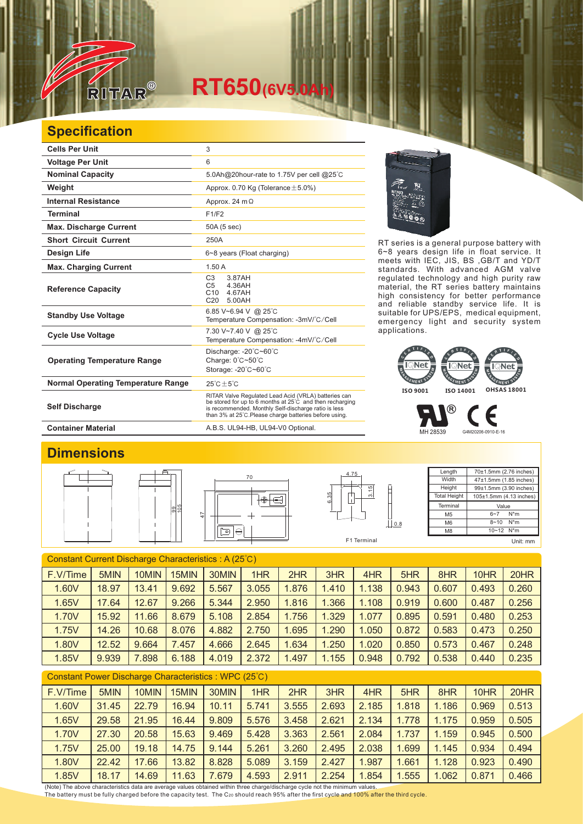

## **RT650(6V5.0Ah)**

## **Specification**

| <b>Cells Per Unit</b>                     | 3                                                                                                                                                                                                                                  |  |  |  |  |
|-------------------------------------------|------------------------------------------------------------------------------------------------------------------------------------------------------------------------------------------------------------------------------------|--|--|--|--|
| <b>Voltage Per Unit</b>                   | 6                                                                                                                                                                                                                                  |  |  |  |  |
| <b>Nominal Capacity</b>                   | 5.0Ah@20hour-rate to 1.75V per cell @25°C                                                                                                                                                                                          |  |  |  |  |
| Weight                                    | Approx. 0.70 Kg (Tolerance $\pm$ 5.0%)                                                                                                                                                                                             |  |  |  |  |
| <b>Internal Resistance</b>                | Approx. 24 $m\Omega$                                                                                                                                                                                                               |  |  |  |  |
| <b>Terminal</b>                           | F1/F2                                                                                                                                                                                                                              |  |  |  |  |
| <b>Max. Discharge Current</b>             | 50A (5 sec)                                                                                                                                                                                                                        |  |  |  |  |
| <b>Short Circuit Current</b>              | 250A                                                                                                                                                                                                                               |  |  |  |  |
| <b>Design Life</b>                        | 6~8 years (Float charging)                                                                                                                                                                                                         |  |  |  |  |
| <b>Max. Charging Current</b>              | 1.50A                                                                                                                                                                                                                              |  |  |  |  |
| <b>Reference Capacity</b>                 | C <sub>3</sub><br>3.87AH<br>4.36AH<br>C <sub>5</sub><br>C <sub>10</sub><br>4.67AH<br>C20<br>500AH                                                                                                                                  |  |  |  |  |
| <b>Standby Use Voltage</b>                | 6.85 V~6.94 V @ 25°C<br>Temperature Compensation: -3mV/°C/Cell                                                                                                                                                                     |  |  |  |  |
| <b>Cycle Use Voltage</b>                  | 7.30 V~7.40 V @ 25°C<br>Temperature Compensation: -4mV/°C/Cell                                                                                                                                                                     |  |  |  |  |
| <b>Operating Temperature Range</b>        | Discharge: $-20^{\circ}$ C $-60^{\circ}$ C<br>Charge: 0°C~50°C<br>Storage: -20°C~60°C                                                                                                                                              |  |  |  |  |
| <b>Normal Operating Temperature Range</b> | $25^{\circ}$ C + $5^{\circ}$ C                                                                                                                                                                                                     |  |  |  |  |
| <b>Self Discharge</b>                     | RITAR Valve Regulated Lead Acid (VRLA) batteries can<br>be stored for up to 6 months at 25°C and then recharging<br>is recommended. Monthly Self-discharge ratio is less<br>than 3% at 25°C. Please charge batteries before using. |  |  |  |  |

RT series is a general purpose battery with 6~8 years design life in float service. It meets with IEC, JIS, BS ,GB/T and YD/T standards. With advanced AGM valve regulated technology and high purity raw material, the RT series battery maintains high consistency for better performance and reliable standby service life. It is suitable for UPS/EPS, medical equipment, emergency light and security system applications.



MH 28539 G4M20206-0910-E-16

®

Length **Width Height Total Height** 

> Terminal M5 M6  $\overline{M8}$

Container Material **Container Material** A.B.S. UL94-HB, UL94-V0 Optional.

## **Dimensions**







 $10 - 12$  N<sup>\*</sup>m

70±1.5mm (2.76 inches) 47±1.5mm (1.85 inches) 99±1.5mm (3.90 inches) 105±1.5mm (4.13 inches)

Є

Value  $6 - 7$  N<sup>\*</sup>m 8~10 N\*m

Unit: mm

| Constant Current Discharge Characteristics: A (25°C) |       |       |       |       |       |       |       |       |       |       |       |       |
|------------------------------------------------------|-------|-------|-------|-------|-------|-------|-------|-------|-------|-------|-------|-------|
| F.V/Time                                             | 5MIN  | 10MIN | 15MIN | 30MIN | 1HR   | 2HR   | 3HR   | 4HR   | 5HR   | 8HR   | 10HR  | 20HR  |
| 1.60V                                                | 18.97 | 13.41 | 9.692 | 5.567 | 3.055 | 1.876 | 1.410 | 1.138 | 0.943 | 0.607 | 0.493 | 0.260 |
| 1.65V                                                | 17.64 | 12.67 | 9.266 | 5.344 | 2.950 | 1.816 | 1.366 | 1.108 | 0.919 | 0.600 | 0.487 | 0.256 |
| 1.70V                                                | 15.92 | 11.66 | 8.679 | 5.108 | 2.854 | 1.756 | 1.329 | 1.077 | 0.895 | 0.591 | 0.480 | 0.253 |
| 1.75V                                                | 14.26 | 10.68 | 8.076 | 4.882 | 2.750 | 1.695 | 1.290 | 1.050 | 0.872 | 0.583 | 0.473 | 0.250 |
| 1.80V                                                | 12.52 | 9.664 | 7.457 | 4.666 | 2.645 | 1.634 | 1.250 | 1.020 | 0.850 | 0.573 | 0.467 | 0.248 |
| 1.85V                                                | 9.939 | 7.898 | 6.188 | 4.019 | 2.372 | 1.497 | 1.155 | 0.948 | 0.792 | 0.538 | 0.440 | 0.235 |
| Constant Power Discharge Characteristics: WPC (25°C) |       |       |       |       |       |       |       |       |       |       |       |       |
| F.V/Time                                             | 5MIN  | 10MIN | 15MIN | 30MIN | 1HR   | 2HR   | 3HR   | 4HR   | 5HR   | 8HR   | 10HR  | 20HR  |
| 1.60V                                                | 31.45 | 22.79 | 16.94 | 10.11 | 5.741 | 3.555 | 2.693 | 2.185 | 1.818 | 1.186 | 0.969 | 0.513 |
| 1.65V                                                | 29.58 | 21.95 | 16.44 | 9.809 | 5.576 | 3.458 | 2.621 | 2.134 | 1.778 | 1.175 | 0.959 | 0.505 |
| 1.70V                                                | 27.30 | 20.58 | 15.63 | 9.469 | 5.428 | 3.363 | 2.561 | 2.084 | 1.737 | 1.159 | 0.945 | 0.500 |
| 1.75V                                                | 25.00 | 19.18 | 14.75 | 9.144 | 5.261 | 3.260 | 2.495 | 2.038 | 1.699 | 1.145 | 0.934 | 0.494 |
| 1.80V                                                | 22.42 | 17.66 | 13.82 | 8.828 | 5.089 | 3.159 | 2.427 | 1.987 | 1.661 | 1.128 | 0.923 | 0.490 |
| 1.85V                                                | 18.17 | 14.69 | 11.63 | 7.679 | 4.593 | 2.911 | 2.254 | 1.854 | 1.555 | 1.062 | 0.871 | 0.466 |

(Note) The above characteristics data are average values obtained within three charge/discharge cycle not the minimum values. The battery must be fully charged before the capacity test. The C20 should reach 95% after the first cycle and 100% after the third cycle.